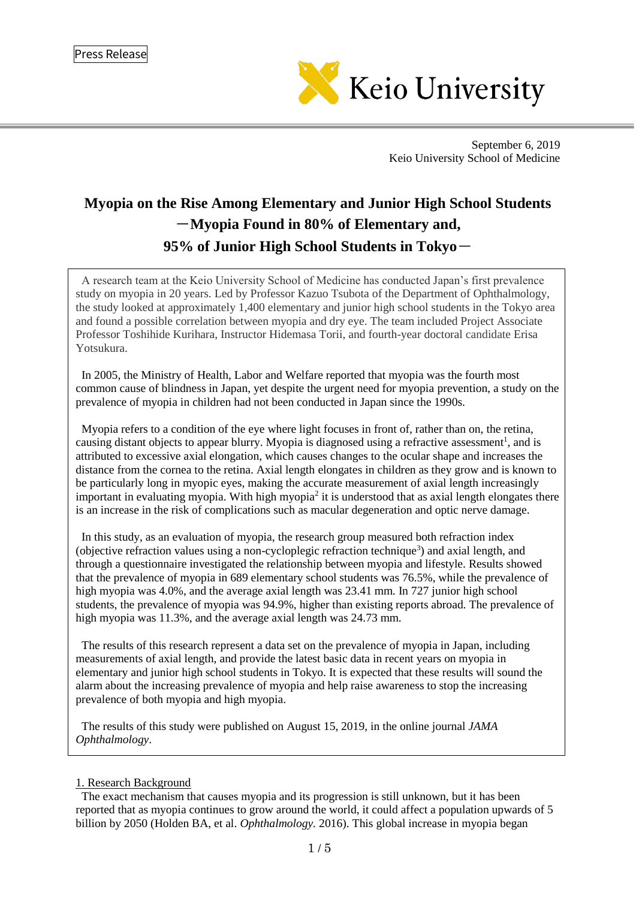

September 6, 2019 Keio University School of Medicine

# **Myopia on the Rise Among Elementary and Junior High School Students** -**Myopia Found in 80% of Elementary and, 95% of Junior High School Students in Tokyo**-

A research team at the Keio University School of Medicine has conducted Japan's first prevalence study on myopia in 20 years. Led by Professor Kazuo Tsubota of the Department of Ophthalmology, the study looked at approximately 1,400 elementary and junior high school students in the Tokyo area and found a possible correlation between myopia and dry eye. The team included Project Associate Professor Toshihide Kurihara, Instructor Hidemasa Torii, and fourth-year doctoral candidate Erisa Yotsukura.

In 2005, the Ministry of Health, Labor and Welfare reported that myopia was the fourth most common cause of blindness in Japan, yet despite the urgent need for myopia prevention, a study on the prevalence of myopia in children had not been conducted in Japan since the 1990s.

Myopia refers to a condition of the eye where light focuses in front of, rather than on, the retina, causing distant objects to appear blurry. Myopia is diagnosed using a refractive assessment<sup>1</sup>, and is attributed to excessive axial elongation, which causes changes to the ocular shape and increases the distance from the cornea to the retina. Axial length elongates in children as they grow and is known to be particularly long in myopic eyes, making the accurate measurement of axial length increasingly important in evaluating myopia. With high myopia<sup>2</sup> it is understood that as axial length elongates there is an increase in the risk of complications such as macular degeneration and optic nerve damage.

In this study, as an evaluation of myopia, the research group measured both refraction index (objective refraction values using a non-cycloplegic refraction technique<sup>3</sup>) and axial length, and through a questionnaire investigated the relationship between myopia and lifestyle. Results showed that the prevalence of myopia in 689 elementary school students was 76.5%, while the prevalence of high myopia was 4.0%, and the average axial length was 23.41 mm. In 727 junior high school students, the prevalence of myopia was 94.9%, higher than existing reports abroad. The prevalence of high myopia was 11.3%, and the average axial length was 24.73 mm.

The results of this research represent a data set on the prevalence of myopia in Japan, including measurements of axial length, and provide the latest basic data in recent years on myopia in elementary and junior high school students in Tokyo. It is expected that these results will sound the alarm about the increasing prevalence of myopia and help raise awareness to stop the increasing prevalence of both myopia and high myopia.

The results of this study were published on August 15, 2019, in the online journal *JAMA Ophthalmology*.

<sup>1.</sup> Research Background

The exact mechanism that causes myopia and its progression is still unknown, but it has been reported that as myopia continues to grow around the world, it could affect a population upwards of 5 billion by 2050 (Holden BA, et al. *Ophthalmology.* 2016). This global increase in myopia began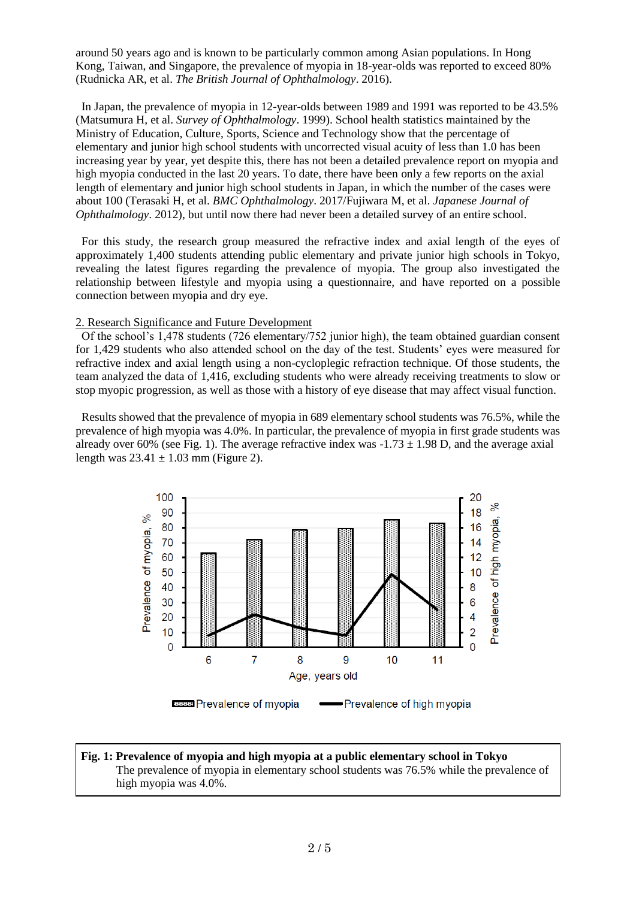around 50 years ago and is known to be particularly common among Asian populations. In Hong Kong, Taiwan, and Singapore, the prevalence of myopia in 18-year-olds was reported to exceed 80% (Rudnicka AR, et al. *The British Journal of Ophthalmology*. 2016).

In Japan, the prevalence of myopia in 12-year-olds between 1989 and 1991 was reported to be 43.5% (Matsumura H, et al. *Survey of Ophthalmology*. 1999). School health statistics maintained by the Ministry of Education, Culture, Sports, Science and Technology show that the percentage of elementary and junior high school students with uncorrected visual acuity of less than 1.0 has been increasing year by year, yet despite this, there has not been a detailed prevalence report on myopia and high myopia conducted in the last 20 years. To date, there have been only a few reports on the axial length of elementary and junior high school students in Japan, in which the number of the cases were about 100 (Terasaki H, et al. *BMC Ophthalmology*. 2017/Fujiwara M, et al. *Japanese Journal of Ophthalmology*. 2012), but until now there had never been a detailed survey of an entire school.

For this study, the research group measured the refractive index and axial length of the eyes of approximately 1,400 students attending public elementary and private junior high schools in Tokyo, revealing the latest figures regarding the prevalence of myopia. The group also investigated the relationship between lifestyle and myopia using a questionnaire, and have reported on a possible connection between myopia and dry eye.

#### 2. Research Significance and Future Development

Of the school's 1,478 students (726 elementary/752 junior high), the team obtained guardian consent for 1,429 students who also attended school on the day of the test. Students' eyes were measured for refractive index and axial length using a non-cycloplegic refraction technique. Of those students, the team analyzed the data of 1,416, excluding students who were already receiving treatments to slow or stop myopic progression, as well as those with a history of eye disease that may affect visual function.

Results showed that the prevalence of myopia in 689 elementary school students was 76.5%, while the prevalence of high myopia was 4.0%. In particular, the prevalence of myopia in first grade students was already over 60% (see Fig. 1). The average refractive index was  $-1.73 \pm 1.98$  D, and the average axial length was  $23.41 \pm 1.03$  mm (Figure 2).



#### **Fig. 1: Prevalence of myopia and high myopia at a public elementary school in Tokyo** The prevalence of myopia in elementary school students was 76.5% while the prevalence of high myopia was 4.0%.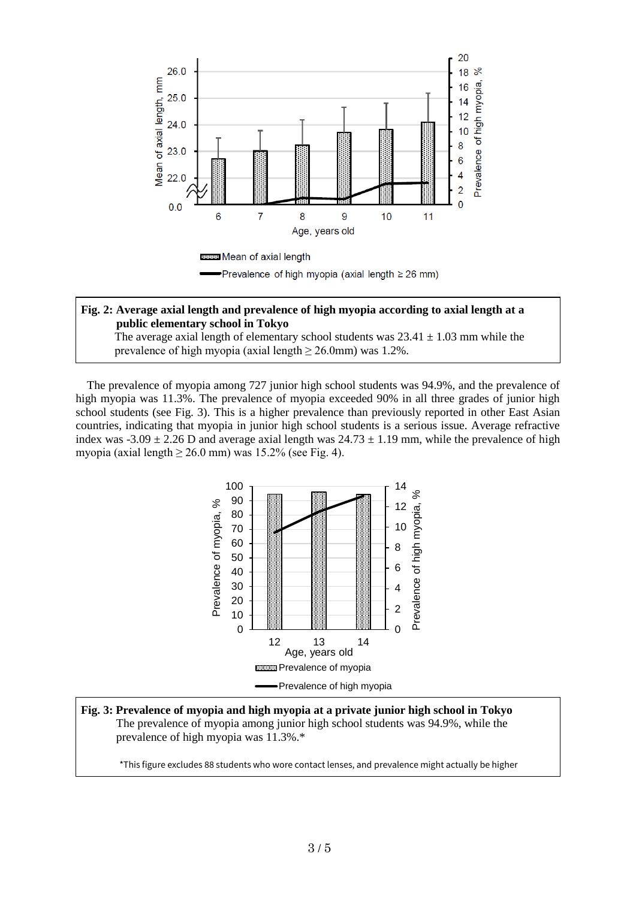

### **Fig. 2: Average axial length and prevalence of high myopia according to axial length at a public elementary school in Tokyo**

The average axial length of elementary school students was  $23.41 \pm 1.03$  mm while the prevalence of high myopia (axial length  $\geq$  26.0mm) was 1.2%.

The prevalence of myopia among 727 junior high school students was 94.9%, and the prevalence of high myopia was 11.3%. The prevalence of myopia exceeded 90% in all three grades of junior high school students (see Fig. 3). This is a higher prevalence than previously reported in other East Asian countries, indicating that myopia in junior high school students is a serious issue. Average refractive index was -3.09  $\pm$  2.26 D and average axial length was 24.73  $\pm$  1.19 mm, while the prevalence of high myopia (axial length  $\geq 26.0$  mm) was 15.2% (see Fig. 4).



**Fig. 3: Prevalence of myopia and high myopia at a private junior high school in Tokyo** The prevalence of myopia among junior high school students was 94.9%, while the prevalence of high myopia was 11.3%.\*

\*This figure excludes 88 students who wore contact lenses, and prevalence might actually be higher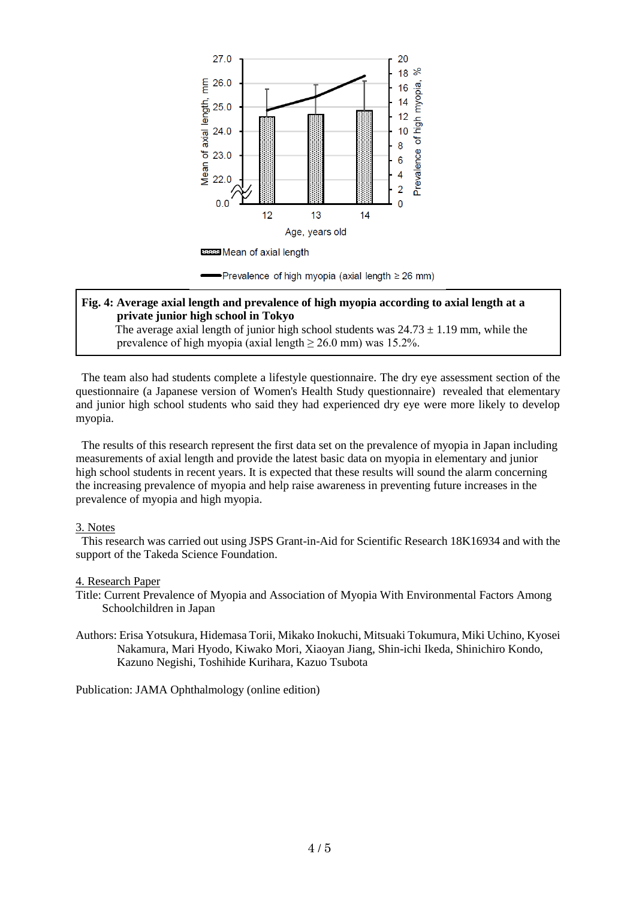

## **Fig. 4: Average axial length and prevalence of high myopia according to axial length at a private junior high school in Tokyo**

The average axial length of junior high school students was  $24.73 \pm 1.19$  mm, while the prevalence of high myopia (axial length  $\geq 26.0$  mm) was 15.2%.

The team also had students complete a lifestyle questionnaire. The dry eye assessment section of the questionnaire (a Japanese version of Women's Health Study questionnaire) revealed that elementary and junior high school students who said they had experienced dry eye were more likely to develop myopia.

The results of this research represent the first data set on the prevalence of myopia in Japan including measurements of axial length and provide the latest basic data on myopia in elementary and junior high school students in recent years. It is expected that these results will sound the alarm concerning the increasing prevalence of myopia and help raise awareness in preventing future increases in the prevalence of myopia and high myopia.

#### 3. Notes

This research was carried out using JSPS Grant-in-Aid for Scientific Research 18K16934 and with the support of the Takeda Science Foundation.

#### 4. Research Paper

- Title: Current Prevalence of Myopia and Association of Myopia With Environmental Factors Among Schoolchildren in Japan
- Authors: Erisa Yotsukura, Hidemasa Torii, Mikako Inokuchi, Mitsuaki Tokumura, Miki Uchino, Kyosei Nakamura, Mari Hyodo, Kiwako Mori, Xiaoyan Jiang, Shin-ichi Ikeda, Shinichiro Kondo, Kazuno Negishi, Toshihide Kurihara, Kazuo Tsubota

Publication: JAMA Ophthalmology (online edition)